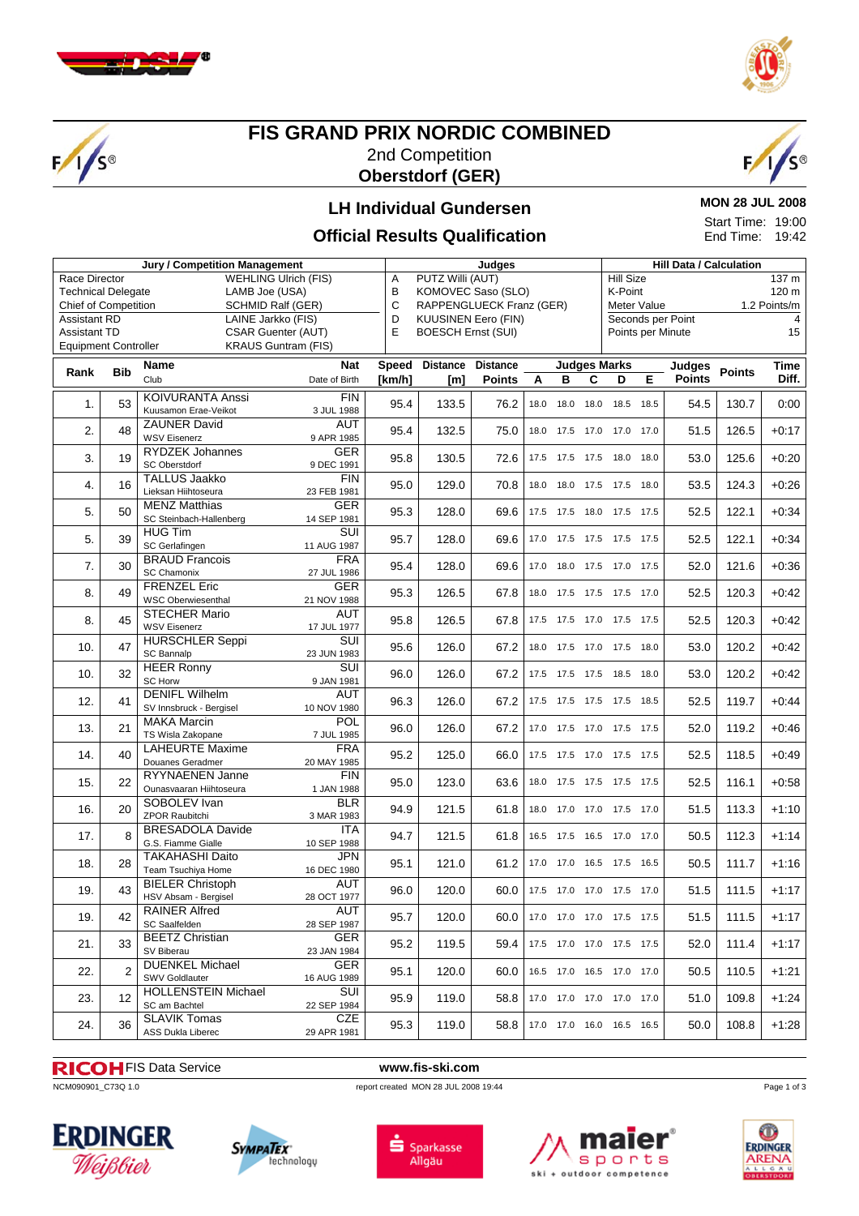

 $\sqrt{s}$ 



#### **FIS GRAND PRIX NORDIC COMBINED** 2nd Competition **Oberstdorf (GER)**



#### **LH Individual Gundersen**

#### **MON 28 JUL 2008** Start Time: 19:00

End Time: 19:42

#### **Official Results Qualification**

| Jury / Competition Management |                                                  |                             |               |              | Judges                          |                 |      |                |      | <b>Hill Data / Calculation</b> |                             |               |        |         |  |
|-------------------------------|--------------------------------------------------|-----------------------------|---------------|--------------|---------------------------------|-----------------|------|----------------|------|--------------------------------|-----------------------------|---------------|--------|---------|--|
| Race Director                 |                                                  | <b>WEHLING Ulrich (FIS)</b> |               | Α            | PUTZ Willi (AUT)                |                 |      |                |      | <b>Hill Size</b><br>137 m      |                             |               |        |         |  |
| <b>Technical Delegate</b>     |                                                  | LAMB Joe (USA)              |               |              | B<br>KOMOVEC Saso (SLO)         |                 |      |                |      | K-Point<br>120 m               |                             |               |        |         |  |
|                               | Chief of Competition<br><b>SCHMID Ralf (GER)</b> |                             |               |              | C<br>RAPPENGLUECK Franz (GER)   |                 |      |                |      |                                | Meter Value<br>1.2 Points/m |               |        |         |  |
| <b>Assistant RD</b>           | LAINE Jarkko (FIS)                               |                             |               |              | D<br><b>KUUSINEN Eero (FIN)</b> |                 |      |                |      |                                | Seconds per Point           |               |        |         |  |
| <b>Assistant TD</b>           |                                                  | <b>CSAR Guenter (AUT)</b>   |               | E            | <b>BOESCH Ernst (SUI)</b>       |                 |      |                |      |                                | Points per Minute           |               |        | 4<br>15 |  |
|                               |                                                  | <b>KRAUS Guntram (FIS)</b>  |               |              |                                 |                 |      |                |      |                                |                             |               |        |         |  |
| <b>Equipment Controller</b>   |                                                  |                             |               |              |                                 |                 |      |                |      |                                |                             |               |        |         |  |
|                               |                                                  | <b>Name</b>                 | <b>Nat</b>    | <b>Speed</b> | <b>Distance</b>                 | <b>Distance</b> |      |                |      | <b>Judges Marks</b>            |                             | Judges        |        | Time    |  |
| Rank                          | <b>Bib</b>                                       | Club                        | Date of Birth | [km/h]       | [m]                             | <b>Points</b>   | A    | в              | С    | D                              | Е                           | <b>Points</b> | Points | Diff.   |  |
|                               |                                                  |                             |               |              |                                 |                 |      |                |      |                                |                             |               |        |         |  |
| 1.                            | 53                                               | <b>KOIVURANTA Anssi</b>     | <b>FIN</b>    | 95.4         | 133.5                           | 76.2            | 18.0 | 18.0           | 18.0 | 18.5                           | 18.5                        | 54.5          | 130.7  | 0:00    |  |
|                               |                                                  | Kuusamon Erae-Veikot        | 3 JUL 1988    |              |                                 |                 |      |                |      |                                |                             |               |        |         |  |
| 2.                            | 48                                               | <b>ZAUNER David</b>         | <b>AUT</b>    | 95.4         | 132.5                           | 75.0            | 18.0 | 17.5           | 17.0 | 17.0                           | 17.0                        | 51.5          | 126.5  | $+0:17$ |  |
|                               |                                                  | <b>WSV Eisenerz</b>         | 9 APR 1985    |              |                                 |                 |      |                |      |                                |                             |               |        |         |  |
| 3.                            | 19                                               | <b>RYDZEK Johannes</b>      | <b>GER</b>    | 95.8         | 130.5                           | 72.6            | 17.5 | 17.5           | 17.5 | 18.0                           | 18.0                        | 53.0          | 125.6  | $+0:20$ |  |
|                               |                                                  | SC Oberstdorf               | 9 DEC 1991    |              |                                 |                 |      |                |      |                                |                             |               |        |         |  |
| 4.                            | 16                                               | <b>TALLUS Jaakko</b>        | FIN           | 95.0         | 129.0                           | 70.8            |      |                |      | 18.0 18.0 17.5 17.5            | 18.0                        | 53.5          | 124.3  | $+0:26$ |  |
|                               |                                                  | Lieksan Hiihtoseura         | 23 FEB 1981   |              |                                 |                 |      |                |      |                                |                             |               |        |         |  |
| 5.                            | 50                                               | <b>MENZ Matthias</b>        | <b>GER</b>    | 95.3         | 128.0                           |                 |      |                |      |                                |                             | 52.5          | 122.1  | $+0:34$ |  |
|                               |                                                  | SC Steinbach-Hallenberg     | 14 SEP 1981   |              |                                 | 69.6            |      |                |      | 17.5 17.5 18.0 17.5 17.5       |                             |               |        |         |  |
|                               |                                                  | <b>HUG Tim</b>              | SUI           |              |                                 |                 |      |                |      |                                |                             |               |        |         |  |
| 5.                            | 39                                               | SC Gerlafingen              | 11 AUG 1987   | 95.7         | 128.0                           | 69.6            |      |                |      | 17.0 17.5 17.5 17.5 17.5       |                             | 52.5          | 122.1  | $+0:34$ |  |
|                               |                                                  | <b>BRAUD Francois</b>       | <b>FRA</b>    |              |                                 |                 |      |                |      |                                |                             |               |        |         |  |
| 7.                            | 30                                               | SC Chamonix                 | 27 JUL 1986   | 95.4         | 128.0                           | 69.6            |      |                |      | 17.0 18.0 17.5 17.0 17.5       |                             | 52.0          | 121.6  | $+0:36$ |  |
|                               |                                                  | <b>FRENZEL Eric</b>         | <b>GER</b>    |              |                                 |                 |      |                |      |                                |                             |               |        |         |  |
| 8.                            | 49                                               | <b>WSC Oberwiesenthal</b>   | 21 NOV 1988   | 95.3         | 126.5                           | 67.8            |      |                |      | 18.0 17.5 17.5 17.5 17.0       |                             | 52.5          | 120.3  | $+0:42$ |  |
|                               |                                                  | <b>STECHER Mario</b>        | <b>AUT</b>    |              |                                 |                 |      |                |      |                                |                             |               |        |         |  |
| 8.                            | 45                                               | <b>WSV Eisenerz</b>         | 17 JUL 1977   | 95.8         | 126.5                           | 67.8            |      |                |      | 17.5 17.5 17.0 17.5 17.5       |                             | 52.5          | 120.3  | $+0:42$ |  |
|                               |                                                  | <b>HURSCHLER Seppi</b>      | SUI           |              |                                 |                 |      |                |      |                                |                             |               |        |         |  |
| 10.                           | 47                                               | SC Bannalp                  | 23 JUN 1983   | 95.6         | 126.0                           | 67.2            |      | 18.0 17.5 17.0 |      | 17.5                           | 18.0                        | 53.0          | 120.2  | $+0:42$ |  |
|                               |                                                  | <b>HEER Ronny</b>           | SUI           |              |                                 |                 |      |                |      |                                |                             |               |        |         |  |
| 10.                           | 32                                               | <b>SC Horw</b>              | 9 JAN 1981    | 96.0         | 126.0                           | 67.2            |      |                |      | 17.5 17.5 17.5 18.5            | 18.0                        | 53.0          | 120.2  | $+0:42$ |  |
|                               |                                                  | <b>DENIFL Wilhelm</b>       | <b>AUT</b>    |              |                                 |                 |      |                |      |                                |                             |               |        |         |  |
| 12.                           | 41                                               | SV Innsbruck - Bergisel     | 10 NOV 1980   | 96.3         | 126.0                           | 67.2            |      |                |      | 17.5 17.5 17.5 17.5            | 18.5                        | 52.5          | 119.7  | $+0:44$ |  |
|                               |                                                  | <b>MAKA Marcin</b>          | POL           |              |                                 |                 |      |                |      |                                |                             |               |        |         |  |
| 13.                           | 21                                               | TS Wisla Zakopane           | 7 JUL 1985    | 96.0         | 126.0                           | 67.2            |      |                |      | 17.0 17.5 17.0 17.5 17.5       |                             | 52.0          | 119.2  | $+0.46$ |  |
|                               |                                                  | <b>LAHEURTE Maxime</b>      | <b>FRA</b>    |              |                                 |                 |      |                |      |                                |                             |               |        |         |  |
| 14.                           | 40                                               | Douanes Geradmer            | 20 MAY 1985   | 95.2         | 125.0                           | 66.0            |      |                |      | 17.5 17.5 17.0 17.5 17.5       |                             | 52.5          | 118.5  | $+0.49$ |  |
|                               |                                                  | <b>RYYNAENEN Janne</b>      | FIN           |              |                                 |                 |      |                |      |                                |                             |               |        |         |  |
| 15.                           | 22                                               | Ounasvaaran Hiihtoseura     | 1 JAN 1988    | 95.0         | 123.0                           | 63.6            |      |                |      | 18.0 17.5 17.5 17.5 17.5       |                             | 52.5          | 116.1  | $+0.58$ |  |
|                               |                                                  | SOBOLEV Ivan                | <b>BLR</b>    |              |                                 |                 |      |                |      |                                |                             |               |        |         |  |
| 16.                           | 20                                               | ZPOR Raubitchi              | 3 MAR 1983    | 94.9         | 121.5                           | 61.8            |      |                |      | 18.0 17.0 17.0 17.5 17.0       |                             | 51.5          | 113.3  | $+1:10$ |  |
|                               |                                                  | <b>BRESADOLA Davide</b>     | <b>ITA</b>    |              |                                 |                 |      |                |      |                                |                             |               |        |         |  |
| 17.                           | 8                                                | G.S. Fiamme Gialle          |               | 94.7         | 121.5                           | 61.8            |      |                |      | 16.5 17.5 16.5 17.0 17.0       |                             | 50.5          | 112.3  | $+1:14$ |  |
|                               |                                                  |                             | 10 SEP 1988   |              |                                 |                 |      |                |      |                                |                             |               |        |         |  |
| 18.                           | 28                                               | <b>TAKAHASHI Daito</b>      | <b>JPN</b>    | 95.1         | 121.0                           | 61.2            |      |                |      | 17.0 17.0 16.5 17.5 16.5       |                             | 50.5          | 111.7  | $+1:16$ |  |
|                               |                                                  | Team Tsuchiya Home          | 16 DEC 1980   |              |                                 |                 |      |                |      |                                |                             |               |        |         |  |
| 19.                           | 43                                               | <b>BIELER Christoph</b>     | <b>AUT</b>    | 96.0         | 120.0                           | 60.0            |      | 17.5 17.0 17.0 |      | 17.5 17.0                      |                             | 51.5          | 111.5  | $+1:17$ |  |
|                               |                                                  | HSV Absam - Bergisel        | 28 OCT 1977   |              |                                 |                 |      |                |      |                                |                             |               |        |         |  |
| 19.                           | 42                                               | <b>RAINER Alfred</b>        | <b>AUT</b>    | 95.7         | 120.0                           | 60.0            |      |                |      | 17.0 17.0 17.0 17.5 17.5       |                             | 51.5          | 111.5  | $+1:17$ |  |
|                               |                                                  | SC Saalfelden               | 28 SEP 1987   |              |                                 |                 |      |                |      |                                |                             |               |        |         |  |
| 21.                           | 33                                               | <b>BEETZ Christian</b>      | <b>GER</b>    | 95.2         | 119.5                           | 59.4            |      |                |      | 17.5 17.0 17.0 17.5 17.5       |                             | 52.0          | 111.4  | $+1:17$ |  |
|                               |                                                  | SV Biberau                  | 23 JAN 1984   |              |                                 |                 |      |                |      |                                |                             |               |        |         |  |
| 22.                           | 2                                                | <b>DUENKEL Michael</b>      | GER           | 95.1         | 120.0                           | 60.0            |      |                |      | 16.5 17.0 16.5 17.0 17.0       |                             | 50.5          | 110.5  | $+1:21$ |  |
|                               |                                                  | SWV Goldlauter              | 16 AUG 1989   |              |                                 |                 |      |                |      |                                |                             |               |        |         |  |
| 23.                           | 12                                               | <b>HOLLENSTEIN Michael</b>  | SUI           | 95.9         | 119.0                           | 58.8            |      |                |      | 17.0 17.0 17.0 17.0 17.0       |                             | 51.0          | 109.8  | $+1:24$ |  |
|                               |                                                  | SC am Bachtel               | 22 SEP 1984   |              |                                 |                 |      |                |      |                                |                             |               |        |         |  |
| 24.                           | 36                                               | <b>SLAVIK Tomas</b>         | CZE           | 95.3         | 119.0                           | 58.8            |      |                |      | 17.0 17.0 16.0 16.5 16.5       |                             | 50.0          | 108.8  | $+1:28$ |  |
|                               |                                                  | ASS Dukla Liberec           | 29 APR 1981   |              |                                 |                 |      |                |      |                                |                             |               |        |         |  |

# **RICOH** FIS Data Service **www.fis-ski.com**<br> **NCM090901\_C73Q 1.0**<br> **report created MON 28 JUL 2008**

### report created MON 28 JUL 2008 19:44











Page 1 of 3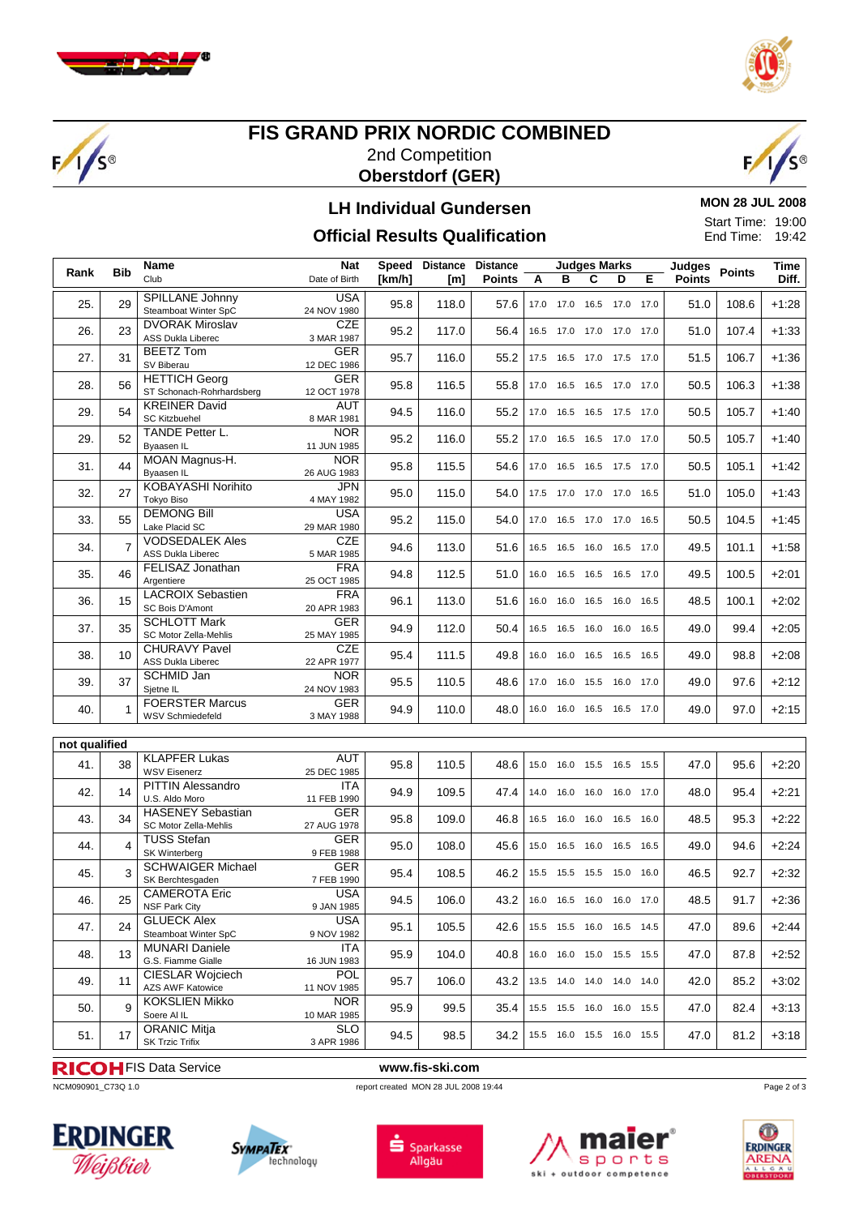

 $F/1/S^{\circ}$ 



#### **FIS GRAND PRIX NORDIC COMBINED** 2nd Competition **Oberstdorf (GER)**



#### **LH Individual Gundersen**

**MON 28 JUL 2008**  $\overline{0}$ 

**Official Results Qualification**

| .                        |  |
|--------------------------|--|
| <b>Start Time: 19:00</b> |  |
| End Time: 19:42          |  |
|                          |  |

|               | Name<br><b>Bib</b><br>Rank |                                                    | <b>Nat</b>                | Speed  | <b>Distance</b> | <b>Distance</b> | <b>Judges Marks</b> |                |                              |      |      | <b>Judges</b> | Points | Time    |
|---------------|----------------------------|----------------------------------------------------|---------------------------|--------|-----------------|-----------------|---------------------|----------------|------------------------------|------|------|---------------|--------|---------|
|               |                            | Club                                               | Date of Birth             | [km/h] | [m]             | <b>Points</b>   | A                   | B              | C                            | D    | Е    | <b>Points</b> |        | Diff.   |
| 25.           | 29                         | SPILLANE Johnny                                    | <b>USA</b>                | 95.8   | 118.0           | 57.6            |                     |                | 17.0 17.0 16.5 17.0 17.0     |      |      | 51.0          | 108.6  | $+1:28$ |
|               |                            | Steamboat Winter SpC                               | 24 NOV 1980               |        |                 |                 |                     |                |                              |      |      |               |        |         |
| 26.           | 23                         | <b>DVORAK Miroslav</b><br><b>ASS Dukla Liberec</b> | <b>CZE</b><br>3 MAR 1987  | 95.2   | 117.0           | 56.4            |                     |                | 16.5 17.0 17.0 17.0 17.0     |      |      | 51.0          | 107.4  | $+1:33$ |
|               |                            | <b>BEETZ Tom</b>                                   | <b>GER</b>                |        |                 |                 |                     |                |                              |      |      |               |        |         |
| 27.           | 31                         | SV Biberau                                         | 12 DEC 1986               | 95.7   | 116.0           | 55.2            |                     |                | 17.5  16.5  17.0  17.5  17.0 |      |      | 51.5          | 106.7  | $+1:36$ |
| 28.           | 56                         | <b>HETTICH Georg</b><br>ST Schonach-Rohrhardsberg  | <b>GER</b><br>12 OCT 1978 | 95.8   | 116.5           | 55.8            |                     |                | 17.0  16.5  16.5  17.0  17.0 |      |      | 50.5          | 106.3  | $+1:38$ |
| 29.           | 54                         | <b>KREINER David</b><br>SC Kitzbuehel              | <b>AUT</b><br>8 MAR 1981  | 94.5   | 116.0           | 55.2            |                     |                | 17.0  16.5  16.5  17.5  17.0 |      |      | 50.5          | 105.7  | $+1:40$ |
| 29.           | 52                         | TANDE Petter L.<br>Byaasen IL                      | <b>NOR</b>                | 95.2   | 116.0           | 55.2            |                     |                | 17.0 16.5 16.5 17.0          |      | 17.0 | 50.5          | 105.7  | $+1:40$ |
|               |                            |                                                    | 11 JUN 1985               |        |                 |                 |                     |                |                              |      |      |               |        |         |
| 31.           | 44                         | MOAN Magnus-H.<br>Byaasen IL                       | <b>NOR</b><br>26 AUG 1983 | 95.8   | 115.5           | 54.6            |                     |                | 17.0  16.5  16.5  17.5  17.0 |      |      | 50.5          | 105.1  | $+1:42$ |
|               |                            | KOBAYASHI Norihito                                 | <b>JPN</b>                |        |                 |                 |                     |                |                              |      |      |               |        |         |
| 32.           | 27                         | Tokyo Biso                                         | 4 MAY 1982                | 95.0   | 115.0           | 54.0            |                     |                | 17.5 17.0 17.0 17.0          |      | 16.5 | 51.0          | 105.0  | $+1:43$ |
| 33.           | 55                         | <b>DEMONG Bill</b><br>Lake Placid SC               | <b>USA</b><br>29 MAR 1980 | 95.2   | 115.0           | 54.0            |                     |                | 17.0  16.5  17.0  17.0       |      | 16.5 | 50.5          | 104.5  | $+1:45$ |
| 34.           | $\overline{7}$             | <b>VODSEDALEK Ales</b>                             | CZE                       | 94.6   | 113.0           | 51.6            |                     |                | 16.5 16.5 16.0 16.5 17.0     |      |      | 49.5          | 101.1  | $+1:58$ |
|               |                            | <b>ASS Dukla Liberec</b>                           | 5 MAR 1985                |        |                 |                 |                     |                |                              |      |      |               |        |         |
| 35.           | 46                         | FELISAZ Jonathan<br>Argentiere                     | <b>FRA</b><br>25 OCT 1985 | 94.8   | 112.5           | 51.0            |                     |                | 16.0 16.5 16.5 16.5 17.0     |      |      | 49.5          | 100.5  | $+2:01$ |
|               |                            | <b>LACROIX Sebastien</b>                           | <b>FRA</b>                |        |                 |                 |                     |                |                              |      |      |               |        |         |
| 36.           | 15                         | SC Bois D'Amont                                    | 20 APR 1983               | 96.1   | 113.0           | 51.6            |                     |                | 16.0 16.0 16.5 16.0 16.5     |      |      | 48.5          | 100.1  | $+2:02$ |
|               |                            | <b>SCHLOTT Mark</b>                                | <b>GER</b>                |        |                 |                 |                     |                |                              |      |      |               |        |         |
| 37.           | 35                         | SC Motor Zella-Mehlis                              | 25 MAY 1985               | 94.9   | 112.0           | 50.4            |                     |                | 16.5 16.5 16.0 16.0          |      | 16.5 | 49.0          | 99.4   | $+2:05$ |
|               |                            | <b>CHURAVY Pavel</b>                               | <b>CZE</b>                |        |                 |                 |                     |                |                              |      |      |               |        |         |
| 38.           | 10                         | ASS Dukla Liberec                                  | 22 APR 1977               | 95.4   | 111.5           | 49.8            |                     |                | 16.0 16.0 16.5 16.5          |      | 16.5 | 49.0          | 98.8   | $+2:08$ |
|               |                            | <b>SCHMID Jan</b>                                  | <b>NOR</b>                |        |                 |                 |                     |                |                              |      |      |               |        |         |
| 39.           | 37                         | Sjetne IL                                          | 24 NOV 1983               | 95.5   | 110.5           | 48.6            |                     | 17.0 16.0      | 15.5 16.0                    |      | 17.0 | 49.0          | 97.6   | $+2:12$ |
| 40.           | $\mathbf{1}$               | <b>FOERSTER Marcus</b>                             | <b>GER</b>                | 94.9   | 110.0           | 48.0            |                     |                | 16.0 16.0 16.5 16.5          |      | 17.0 | 49.0          | 97.0   | $+2:15$ |
|               |                            | <b>WSV Schmiedefeld</b>                            | 3 MAY 1988                |        |                 |                 |                     |                |                              |      |      |               |        |         |
|               |                            |                                                    |                           |        |                 |                 |                     |                |                              |      |      |               |        |         |
| not qualified |                            |                                                    |                           |        |                 |                 |                     |                |                              |      |      |               |        |         |
| 41.           | 38                         | <b>KLAPFER Lukas</b>                               | <b>AUT</b>                | 95.8   | 110.5           | 48.6            |                     |                | 15.0 16.0 15.5 16.5 15.5     |      |      | 47.0          | 95.6   | $+2:20$ |
|               |                            | <b>WSV Eisenerz</b>                                | 25 DEC 1985               |        |                 |                 |                     |                |                              |      |      |               |        |         |
| 42.           | 14                         | <b>PITTIN Alessandro</b><br>U.S. Aldo Moro         | <b>ITA</b>                | 94.9   | 109.5           | 47.4            |                     |                | 14.0  16.0  16.0  16.0  17.0 |      |      | 48.0          | 95.4   | $+2:21$ |
|               |                            | <b>HASENEY Sebastian</b>                           | 11 FEB 1990               |        |                 |                 |                     |                |                              |      |      |               |        |         |
| 43.           | 34                         |                                                    | <b>GER</b>                | 95.8   | 109.0           | 46.8            |                     |                | 16.5 16.0 16.0 16.5          |      | 16.0 | 48.5          | 95.3   | $+2:22$ |
|               |                            | SC Motor Zella-Mehlis                              | 27 AUG 1978               |        |                 |                 |                     |                |                              |      |      |               |        |         |
| 44.           | 4                          | <b>TUSS Stefan</b>                                 | <b>GER</b>                | 95.0   | 108.0           | 45.6            |                     | 15.0 16.5 16.0 |                              | 16.5 | 16.5 | 49.0          | 94.6   | $+2:24$ |
|               |                            | SK Winterberg                                      | 9 FEB 1988                |        |                 |                 |                     |                |                              |      |      |               |        |         |
| 45.           | 3                          | <b>SCHWAIGER Michael</b><br>SK Berchtesgaden       | <b>GER</b><br>7 FEB 1990  | 95.4   | 108.5           | 46.2            |                     | 15.5 15.5 15.5 |                              | 15.0 | 16.0 | 46.5          | 92.7   | $+2:32$ |
|               |                            | <b>CAMEROTA Eric</b>                               | <b>USA</b>                |        |                 |                 |                     |                |                              |      |      |               |        |         |
| 46.           | 25                         | NSF Park City                                      | 9 JAN 1985                | 94.5   | 106.0           | 43.2            |                     |                | 16.0 16.5 16.0 16.0          |      | 17.0 | 48.5          | 91.7   | $+2:36$ |
|               |                            | <b>GLUECK Alex</b>                                 | <b>USA</b>                |        |                 |                 |                     |                |                              |      |      |               |        |         |
| 47.           | 24                         | Steamboat Winter SpC                               | 9 NOV 1982                | 95.1   | 105.5           | 42.6            |                     |                | 15.5 15.5 16.0 16.5 14.5     |      |      | 47.0          | 89.6   | $+2:44$ |
|               |                            | <b>MUNARI Daniele</b>                              | <b>ITA</b>                |        |                 |                 |                     |                |                              |      |      |               |        |         |
| 48.           | 13                         | G.S. Fiamme Gialle                                 | 16 JUN 1983               | 95.9   | 104.0           | 40.8            |                     |                | 16.0 16.0 15.0 15.5 15.5     |      |      | 47.0          | 87.8   | $+2:52$ |
|               |                            | CIESLAR Wojciech                                   | <b>POL</b>                |        |                 |                 |                     |                |                              |      |      |               |        |         |
| 49.           | 11                         | AZS AWF Katowice                                   | 11 NOV 1985               | 95.7   | 106.0           | 43.2            |                     |                | 13.5 14.0 14.0 14.0 14.0     |      |      | 42.0          | 85.2   | $+3:02$ |
|               |                            | <b>KOKSLIEN Mikko</b>                              | NOR.                      |        |                 |                 |                     |                |                              |      |      |               |        |         |
| 50.           | 9                          | Soere Al IL                                        | 10 MAR 1985               | 95.9   | 99.5            | 35.4            |                     |                | 15.5 15.5 16.0 16.0 15.5     |      |      | 47.0          | 82.4   | $+3:13$ |
|               |                            | <b>ORANIC Mitja</b>                                | <b>SLO</b>                |        |                 |                 |                     |                |                              |      |      |               |        |         |
| 51.           | 17                         | <b>SK Trzic Trifix</b>                             | 3 APR 1986                | 94.5   | 98.5            | 34.2            |                     |                | 15.5 16.0 15.5 16.0 15.5     |      |      | 47.0          | 81.2   | $+3:18$ |
|               |                            |                                                    |                           |        |                 |                 |                     |                |                              |      |      |               |        |         |

# **RICOH** FIS Data Service **www.fis-ski.com**<br> **NCM090901\_C73Q 1.0**<br> **report created MON 28 JUL 2008**

report created MON 28 JUL 2008 19:44











Page 2 of 3